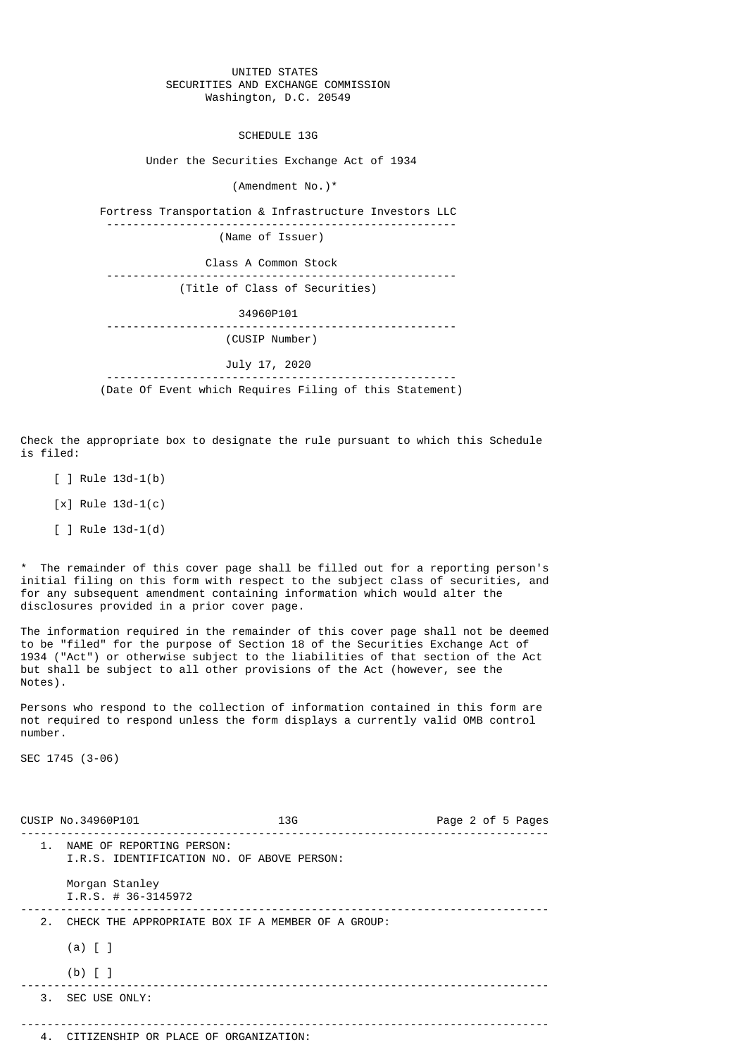## UNITED STATES SECURITIES AND EXCHANGE COMMISSION Washington, D.C. 20549

SCHEDULE 13G

Under the Securities Exchange Act of 1934

(Amendment No.)\*

 Fortress Transportation & Infrastructure Investors LLC ----------------------------------------------------- (Name of Issuer) Class A Common Stock ----------------------------------------------------- (Title of Class of Securities)

 34960P101 ----------------------------------------------------- (CUSIP Number)

July 17, 2020

 ----------------------------------------------------- (Date Of Event which Requires Filing of this Statement)

Check the appropriate box to designate the rule pursuant to which this Schedule is filed:

- $[ ]$  Rule 13d-1(b)
- $[x]$  Rule 13d-1(c)
- [ ] Rule 13d-1(d)

\* The remainder of this cover page shall be filled out for a reporting person's initial filing on this form with respect to the subject class of securities, and for any subsequent amendment containing information which would alter the disclosures provided in a prior cover page.

The information required in the remainder of this cover page shall not be deemed to be "filed" for the purpose of Section 18 of the Securities Exchange Act of 1934 ("Act") or otherwise subject to the liabilities of that section of the Act but shall be subject to all other provisions of the Act (however, see the Notes).

Persons who respond to the collection of information contained in this form are not required to respond unless the form displays a currently valid OMB control number.

SEC 1745 (3-06)

|               | CUSIP No.34960P101                                                      | 13G | Page 2 of 5 Pages |
|---------------|-------------------------------------------------------------------------|-----|-------------------|
| $\mathbf 1$ . | NAME OF REPORTING PERSON:<br>I.R.S. IDENTIFICATION NO. OF ABOVE PERSON: |     |                   |
|               | Morgan Stanley<br>$I.R.S. # 36-3145972$                                 |     |                   |
| 2.            | CHECK THE APPROPRIATE BOX IF A MEMBER OF A GROUP:                       |     |                   |
|               | $(a)$ $[$ $]$                                                           |     |                   |
|               | $(b)$ $\lceil$                                                          |     |                   |
|               | 3. SEC USE ONLY:                                                        |     |                   |
|               |                                                                         |     |                   |
|               | 4. CITIZENSHIP OR PLACE OF ORGANIZATION:                                |     |                   |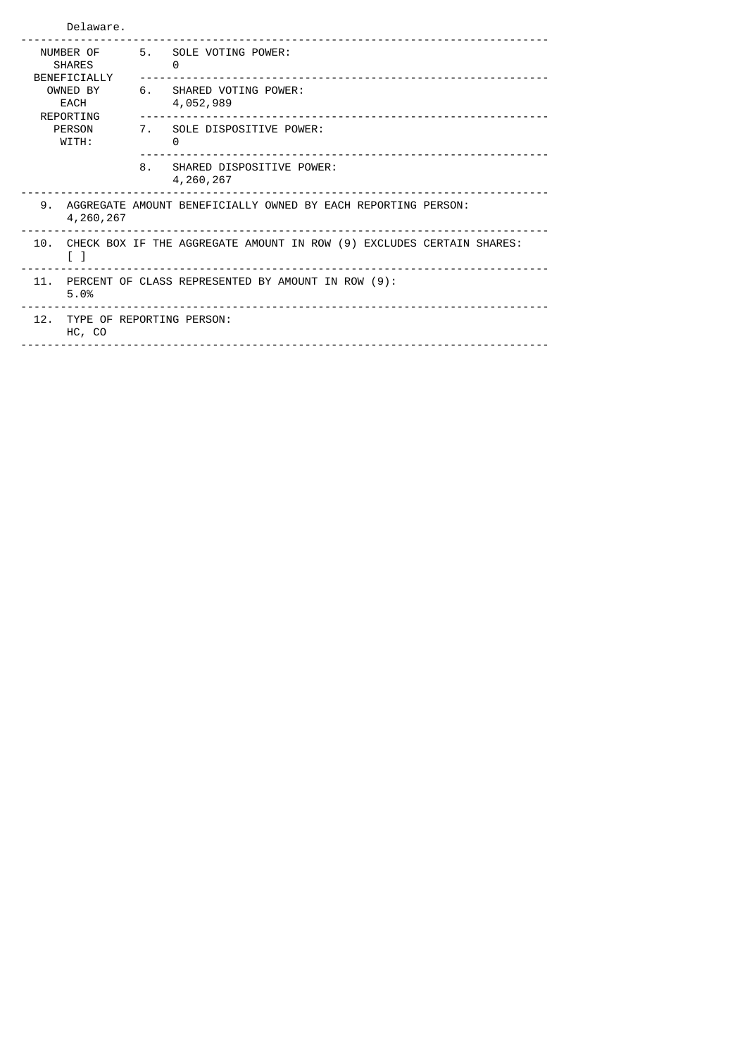| Delaware.                                  |                                                                                       |                                                                     |  |  |
|--------------------------------------------|---------------------------------------------------------------------------------------|---------------------------------------------------------------------|--|--|
| NUMBER OF<br><b>SHARES</b><br>BENEFICIALLY | 5.                                                                                    | SOLE VOTING POWER:<br>0                                             |  |  |
| OWNED BY<br>EACH<br>REPORTING              | 6.                                                                                    | SHARED VOTING POWER:<br>4,052,989<br>______________________________ |  |  |
| <b>PERSON</b><br>WITH:                     |                                                                                       | 7. SOLE DISPOSITIVE POWER:<br>0                                     |  |  |
|                                            | 8.                                                                                    | SHARED DISPOSITIVE POWER:<br>4,260,267                              |  |  |
| 9.<br>4,260,267                            |                                                                                       | AGGREGATE AMOUNT BENEFICIALLY OWNED BY EACH REPORTING PERSON:       |  |  |
| 10.<br>LΙ                                  | CHECK BOX IF THE AGGREGATE AMOUNT IN ROW (9) EXCLUDES CERTAIN SHARES:                 |                                                                     |  |  |
| 11.<br>5.0%                                | PERCENT OF CLASS REPRESENTED BY AMOUNT IN ROW (9):<br>_______________________________ |                                                                     |  |  |
| HC, CO                                     | 12. TYPE OF REPORTING PERSON:                                                         |                                                                     |  |  |
|                                            |                                                                                       |                                                                     |  |  |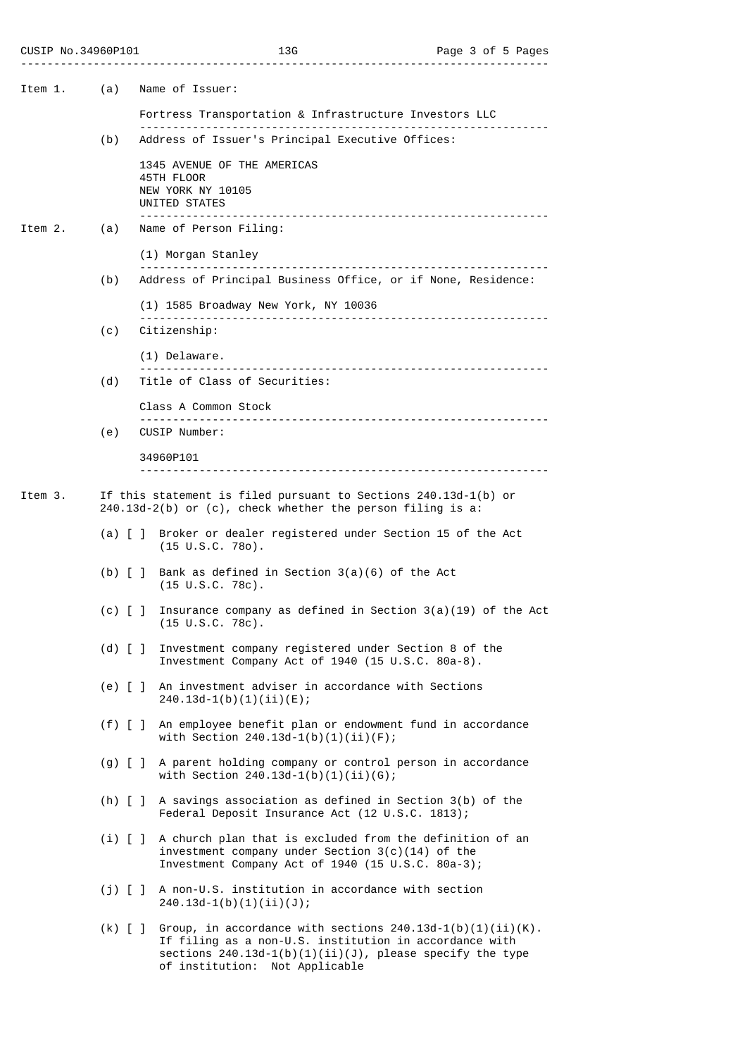| CUSIP No.34960P101 |  |
|--------------------|--|
|--------------------|--|

| Item 1. | (a)                     | Name of Issuer:                                                                                                                                                                                |
|---------|-------------------------|------------------------------------------------------------------------------------------------------------------------------------------------------------------------------------------------|
|         |                         | Fortress Transportation & Infrastructure Investors LLC                                                                                                                                         |
|         | (b)                     | Address of Issuer's Principal Executive Offices:                                                                                                                                               |
|         |                         | 1345 AVENUE OF THE AMERICAS<br>45TH FLOOR<br>NEW YORK NY 10105<br>UNITED STATES<br>.                                                                                                           |
| Item 2. | (a)                     | Name of Person Filing:                                                                                                                                                                         |
|         | (b)                     | (1) Morgan Stanley<br>Address of Principal Business Office, or if None, Residence:                                                                                                             |
|         |                         | (1) 1585 Broadway New York, NY 10036                                                                                                                                                           |
|         | (c)                     | Citizenship:                                                                                                                                                                                   |
|         |                         | (1) Delaware.                                                                                                                                                                                  |
|         | (d)                     | Title of Class of Securities:                                                                                                                                                                  |
|         |                         | Class A Common Stock                                                                                                                                                                           |
|         | (e)                     | CUSIP Number:                                                                                                                                                                                  |
|         |                         | 34960P101                                                                                                                                                                                      |
| Item 3. |                         | If this statement is filed pursuant to Sections 240.13d-1(b) or<br>$240.13d-2(b)$ or (c), check whether the person filing is a:                                                                |
|         | $(a)$ [ ]               | Broker or dealer registered under Section 15 of the Act<br>$(15 \cup S.C. 780)$ .                                                                                                              |
|         | $(b)$ $\lceil$ $\rceil$ | Bank as defined in Section $3(a)(6)$ of the Act<br>$(15 \cup S.C. 78c)$ .                                                                                                                      |
|         | $(c)$ $\lceil$ $\rceil$ | Insurance company as defined in Section $3(a)(19)$ of the Act<br>(15 U.S.C. 78c).                                                                                                              |
|         | $(d)$ $\lceil$ $\rceil$ | Investment company registered under Section 8 of the<br>Investment Company Act of 1940 (15 U.S.C. 80a-8).                                                                                      |
|         |                         | (e) [ ] An investment adviser in accordance with Sections<br>$240.13d-1(b)(1)(ii)(E);$                                                                                                         |
|         |                         | (f) [] An employee benefit plan or endowment fund in accordance<br>with Section $240.13d-1(b)(1)(ii)(F)$ ;                                                                                     |
|         |                         | (g) [ ] A parent holding company or control person in accordance<br>with Section $240.13d-1(b)(1)(ii)(G);$                                                                                     |
|         |                         | (h) $[ ]$ A savings association as defined in Section 3(b) of the<br>Federal Deposit Insurance Act (12 U.S.C. 1813);                                                                           |
|         |                         | (i) [ ] A church plan that is excluded from the definition of an<br>investment company under Section $3(c)(14)$ of the<br>Investment Company Act of 1940 (15 U.S.C. 80a-3);                    |
|         | $(j)$ [ ]               | A non-U.S. institution in accordance with section<br>$240.13d-1(b)(1)(ii)(J);$                                                                                                                 |
|         |                         | (k) [ ] Group, in accordance with sections $240.13d-1(b)(1)(ii)(K)$ .<br>If filing as a non-U.S. institution in accordance with<br>sections $240.13d-1(b)(1)(ii)(J)$ , please specify the type |

of institution: Not Applicable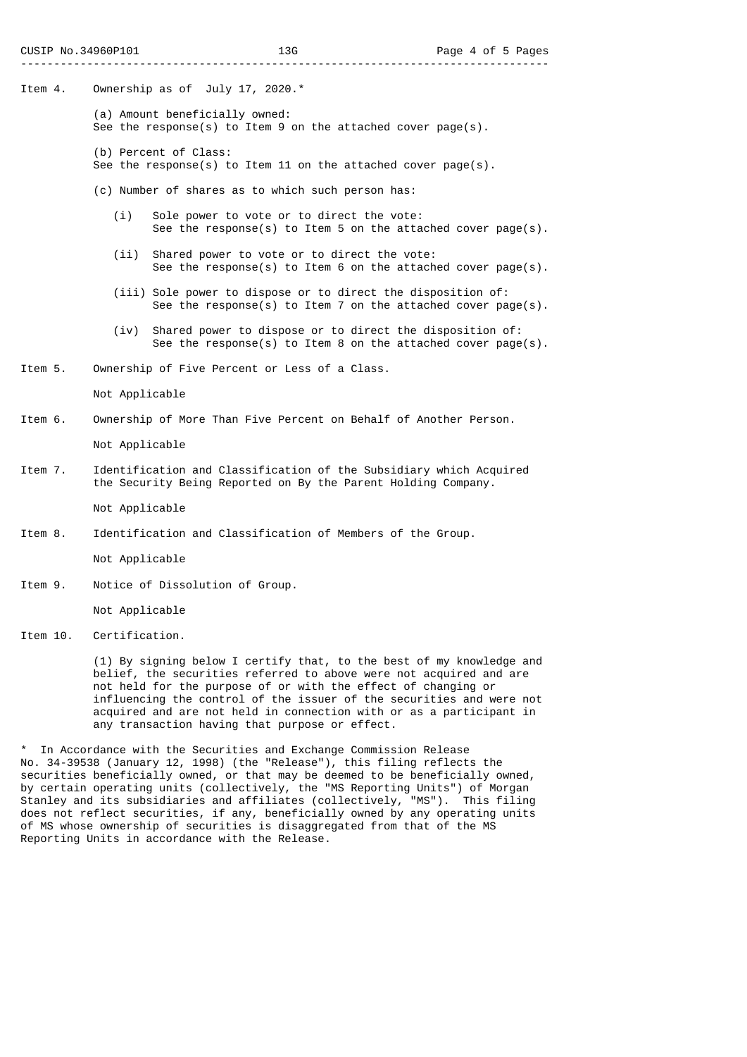Item 4. Ownership as of July 17, 2020.\*

- (a) Amount beneficially owned: See the response(s) to Item 9 on the attached cover page(s).
- (b) Percent of Class:
- See the response(s) to Item 11 on the attached cover page(s).
- (c) Number of shares as to which such person has:
	- (i) Sole power to vote or to direct the vote: See the response(s) to Item 5 on the attached cover page(s).
	- (ii) Shared power to vote or to direct the vote: See the response(s) to Item 6 on the attached cover page(s).
	- (iii) Sole power to dispose or to direct the disposition of: See the response(s) to Item 7 on the attached cover page(s).
	- (iv) Shared power to dispose or to direct the disposition of: See the response(s) to Item 8 on the attached cover page(s).
- Item 5. Ownership of Five Percent or Less of a Class.

Not Applicable

Item 6. Ownership of More Than Five Percent on Behalf of Another Person.

Not Applicable

Item 7. Identification and Classification of the Subsidiary which Acquired the Security Being Reported on By the Parent Holding Company.

Not Applicable

Item 8. Identification and Classification of Members of the Group.

Not Applicable

Item 9. Notice of Dissolution of Group.

Not Applicable

Item 10. Certification.

 (1) By signing below I certify that, to the best of my knowledge and belief, the securities referred to above were not acquired and are not held for the purpose of or with the effect of changing or influencing the control of the issuer of the securities and were not acquired and are not held in connection with or as a participant in any transaction having that purpose or effect.

\* In Accordance with the Securities and Exchange Commission Release No. 34-39538 (January 12, 1998) (the "Release"), this filing reflects the securities beneficially owned, or that may be deemed to be beneficially owned, by certain operating units (collectively, the "MS Reporting Units") of Morgan Stanley and its subsidiaries and affiliates (collectively, "MS"). This filing does not reflect securities, if any, beneficially owned by any operating units of MS whose ownership of securities is disaggregated from that of the MS Reporting Units in accordance with the Release.